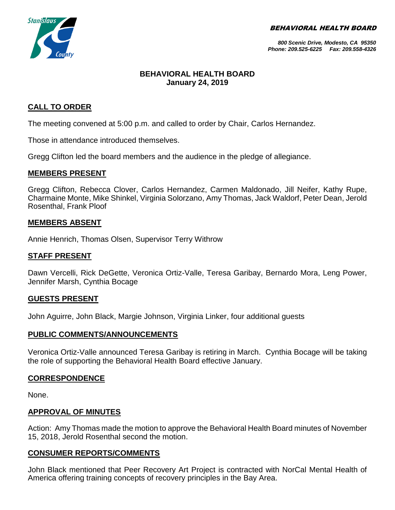BEHAVIORAL HEALTH BOARD



*800 Scenic Drive, Modesto, CA 95350 Phone: 209.525-6225 Fax: 209.558-4326*

## **BEHAVIORAL HEALTH BOARD January 24, 2019**

## **CALL TO ORDER**

The meeting convened at 5:00 p.m. and called to order by Chair, Carlos Hernandez.

Those in attendance introduced themselves.

Gregg Clifton led the board members and the audience in the pledge of allegiance.

### **MEMBERS PRESENT**

Gregg Clifton, Rebecca Clover, Carlos Hernandez, Carmen Maldonado, Jill Neifer, Kathy Rupe, Charmaine Monte, Mike Shinkel, Virginia Solorzano, Amy Thomas, Jack Waldorf, Peter Dean, Jerold Rosenthal, Frank Ploof

### **MEMBERS ABSENT**

Annie Henrich, Thomas Olsen, Supervisor Terry Withrow

### **STAFF PRESENT**

Dawn Vercelli, Rick DeGette, Veronica Ortiz-Valle, Teresa Garibay, Bernardo Mora, Leng Power, Jennifer Marsh, Cynthia Bocage

### **GUESTS PRESENT**

John Aguirre, John Black, Margie Johnson, Virginia Linker, four additional guests

### **PUBLIC COMMENTS/ANNOUNCEMENTS**

Veronica Ortiz-Valle announced Teresa Garibay is retiring in March. Cynthia Bocage will be taking the role of supporting the Behavioral Health Board effective January.

### **CORRESPONDENCE**

None.

### **APPROVAL OF MINUTES**

Action: Amy Thomas made the motion to approve the Behavioral Health Board minutes of November 15, 2018, Jerold Rosenthal second the motion.

### **CONSUMER REPORTS/COMMENTS**

John Black mentioned that Peer Recovery Art Project is contracted with NorCal Mental Health of America offering training concepts of recovery principles in the Bay Area.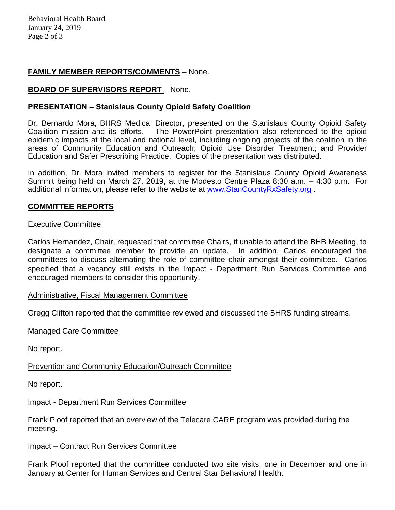# **FAMILY MEMBER REPORTS/COMMENTS** – None.

## **BOARD OF SUPERVISORS REPORT** – None.

### **PRESENTATION – Stanislaus County Opioid Safety Coalition**

Dr. Bernardo Mora, BHRS Medical Director, presented on the Stanislaus County Opioid Safety Coalition mission and its efforts. The PowerPoint presentation also referenced to the opioid epidemic impacts at the local and national level, including ongoing projects of the coalition in the areas of Community Education and Outreach; Opioid Use Disorder Treatment; and Provider Education and Safer Prescribing Practice. Copies of the presentation was distributed.

In addition, Dr. Mora invited members to register for the Stanislaus County Opioid Awareness Summit being held on March 27, 2019, at the Modesto Centre Plaza 8:30 a.m. – 4:30 p.m. For additional information, please refer to the website at [www.StanCountyRxSafety.org](http://www.stancountyrxsafety.org/) .

# **COMMITTEE REPORTS**

### Executive Committee

Carlos Hernandez, Chair, requested that committee Chairs, if unable to attend the BHB Meeting, to designate a committee member to provide an update. In addition, Carlos encouraged the committees to discuss alternating the role of committee chair amongst their committee. Carlos specified that a vacancy still exists in the Impact - Department Run Services Committee and encouraged members to consider this opportunity.

### Administrative, Fiscal Management Committee

Gregg Clifton reported that the committee reviewed and discussed the BHRS funding streams.

### Managed Care Committee

No report.

### Prevention and Community Education/Outreach Committee

No report.

### Impact - Department Run Services Committee

Frank Ploof reported that an overview of the Telecare CARE program was provided during the meeting.

### Impact – Contract Run Services Committee

Frank Ploof reported that the committee conducted two site visits, one in December and one in January at Center for Human Services and Central Star Behavioral Health.